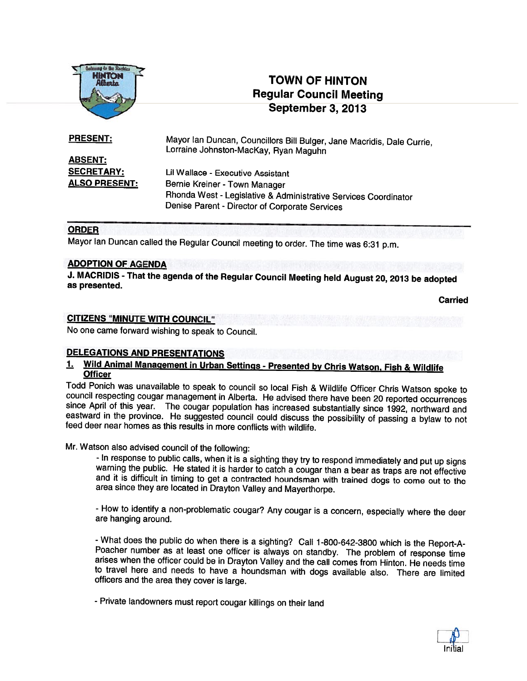

# TOWN OF HINTON Regular Council Meeting September 3, 2013

PRESENT: Mayor Ian Duncan, Councillors Bill Bulger, Jane Macridis, Dale Currie, Lorraine Johnston-MacKay, Ryan Maguhn ABSENT: SECRETARY: Lil Wallace - Executive Assistant ALSO PRESENT: Bernie Kreiner - Town Manager Rhonda West - Legislative & Administrative Services Coordinator

Denise Parent - Director of Corporate Services

#### ORDER

Mayor Ian Duncan called the Regular Council meeting to order. The time was 6:31 p.m.

#### ADOPTION OF AGENDA

J. MACRIDIS - That the agenda of the Regular Council Meeting held August 20, <sup>2013</sup> be adopted as presented.

Carried

#### CITIZENS "MINUTE WITH COUNCIL"

No one came forward wishing to speak to Council.

# DELEGATIONS AND PRESENTATIONS

# 1. Wild Animal Management in Urban Settings - Presented by Chris Watson, Fish & Wildlife Officer

Todd Ponich was unavailable to speak to council so local Fish & Wildlife Officer Chris Watson spoke to council respecting cougar management in Alberta. He advised there have been 20 reported occurrences since April of this

#### Mr. Watson also advised council of the following:

- In response to public calls, when it is a sighting they try to respond immediately and put up signs warning the public. He stated it is harder to catch a cougar than a bear as traps are not effective and it is difficult in timing to get a contracted houndsman with trained dogs to come out to the area since they are located in Drayton Valley and Mayerthorpe.

- How to identify <sup>a</sup> non-problematic cougar? Any cougar is <sup>a</sup> concern, especially where the deer are hanging around.

- What does the public do when there is a sighting? Call 1-800-642-3800 which is the Report-A-Poacher number as at least one officer is always on standby. The problem of response time arises when the officer could be in Drayton Valley and the call comes from Hinton. He needs time to travel here and needs to have <sup>a</sup> houndsman with dogs available also. There are limited officers and the area they cover is large.

- Private landowners must report cougar killings on their land

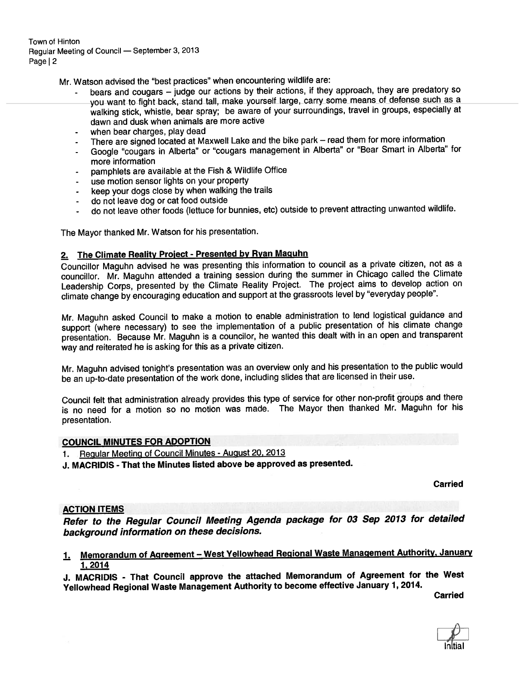Town of Hinton Regular Meeting of Council — September 3, <sup>2013</sup> Page | 2

Mr. Watson advised the "best practices" when encountering wildlife are:

- bears and cougars judge our actions by their actions, if they approach, they are predatory so you want to fight back, stand tall, make yourself large, carry some means of defense such as <sup>a</sup> walking stick, whistle, bear spray; be aware of your surroundings, travel in groups, especially at dawn and dusk when animals are more active
- when bear charges, play dead
- There are signed located at Maxwell Lake and the bike park read them for more information
- Google "cougars in Alberta" or "cougars managemen<sup>t</sup> in Alberta" or "Bear Smart in Alberta" for more information
- pamphlets are available at the Fish & Wildlife Office
- use motion sensor lights on your property
- keep your dogs close by when walking the trails
- do not leave dog or cat food outside
- do not leave other foods (lettuce for bunnies, etc) outside to preven<sup>t</sup> attracting unwanted wildlife.

The Mayor thanked Mr. Watson for his presentation.

## 2. The Climate Reality Project - Presented by Ryan Maguhn

Councillor Maguhn advised he was presenting this information to council as <sup>a</sup> private citizen, not as <sup>a</sup> councillor. Mr. Maguhn attended <sup>a</sup> training session during the summer in Chicago called the Climate Leadership Corps, presented by the Climate Reality Project. The project aims to develop action on climate change by encouraging education and suppor<sup>t</sup> at the grassroots level by "everyday people".

Mr. Maguhn asked Council to make <sup>a</sup> motion to enable administration to lend logistical guidance and support (where necessary) to see the implementation of a public presentation of his climate change presentation. Because Mr. Maguhn is <sup>a</sup> councilor, he wanted this dealt with in an open and transparent way and reiterated he is asking for this as <sup>a</sup> private citizen.

Mr. Maguhn advised tonight's presentation was an overview only and his presentation to the public would be an up-to-date presentation of the work done, including slides that are licensed in their use.

Council felt that administration already provides this type of service for other non-profit groups and there is no need for <sup>a</sup> motion so no motion was made. The Mayor then thanked Mr. Maguhn for his presentation.

#### COUNCIL MINUTES FOR ADOPTION

1. Regular Meeting of Council Minutes - August 20, <sup>2013</sup>

J. MACRIDIS -That the Minutes listed above be approve<sup>d</sup> as presented.

Carried

#### ACTION ITEMS

Refer to the Regular Council Meeting Agenda package for <sup>03</sup> Sep <sup>2013</sup> for detailed background information on these decisions.

1. Memorandum of Agreement — West Yellowhead Regional Waste Management Authority, January 1, 2014

J. MACRIDIS - That Council approve the attached Memorandum of Agreement for the West Yellowhead Regional Waste Management Authority to become effective January 1,2014.

**Carried** 

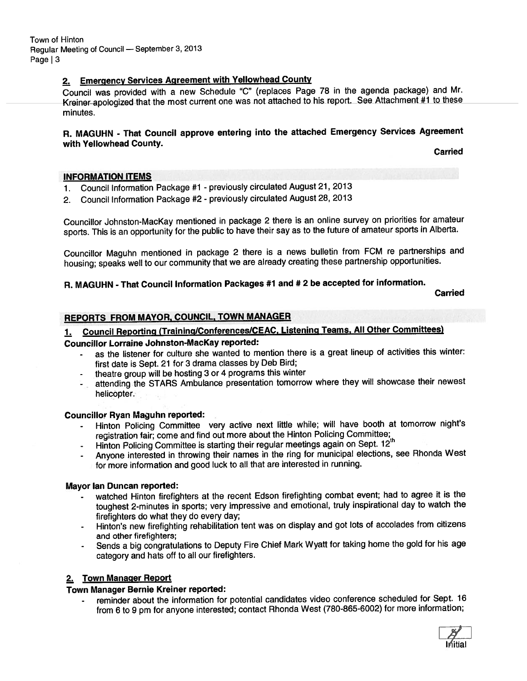Town of Hinton Regular Meeting of Council — September 3, <sup>2013</sup> Page | 3

# 2. Emergency Services Agreement with Yellowhead County

Council was provided with <sup>a</sup> new Schedule "C" (replaces Page <sup>78</sup> in the agenda package) and Mr. Kreiner apologized that the most current one was not attached to his report. See Attachment #1 to these minutes.

## R. MAGUHN - That Council approve entering into the attached Emergency Services Agreement with Yellowhead County.

Carried

#### INFORMATION ITEMS

- 1. Council Information Package #1 previously circulated August 21, 2013
- 2. Council Information Package #2 previously circulated August 28, <sup>2013</sup>

Councillor Johnston-MacKay mentioned in package 2 there is an online survey on priorities for amateur sports. This is an opportunity for the public to have their say as to the future of amateur sports in Alberta.

Councillor Maguhn mentioned in package <sup>2</sup> there is <sup>a</sup> news bulletin from FCM re partnerships and housing; speaks well to our community that we are already creating these partnership opportunities.

# R. MAGUHN - That Council Information Packages #1 and # <sup>2</sup> be accepted for information.

**Carried** 

# REPORTS FROM MAYOR, COUNCIL, TOWN MANAGER

# 1. Council Reporting (Training/Conferences/CEAC, Listening Teams, All Other Committees)

#### Councillor Lorraine Johnston-MacKay reported:

- as the listener for culture she wanted to mention there is <sup>a</sup> grea<sup>t</sup> lineup of activities this winter: first date is Sept. <sup>21</sup> for <sup>3</sup> drama classes by Deb Bird;
- theatre group will be hosting <sup>3</sup> or <sup>4</sup> programs this winter
- attending the STARS Ambulance presentation tomorrow where they will showcase their newest helicopter.

#### Councillor Ryan Maguhn reported:

- Hinton Policing Committee very active next little while; will have booth at tomorrow night's registration fair; come and find out more about the Hinton Policing Committee;
- Hinton Policing Committee is starting their regular meetings again on Sept. 12<sup>th</sup>
- Anyone interested in throwing their names in the ring for municipal elections, see Rhonda West for more information and goo<sup>d</sup> luck to all that are interested in running.

#### Mayor Ian Duncan reported:

- watched Hinton firefighters at the recent Edson firefighting combat event; had to agree it is the toughest 2-minutes in sports; very impressive and emotional, truly inspirational day to watch the firefighters do what they do every day;
- Hinton's new firefighting rehabilitation tent was on display and go<sup>t</sup> lots of accolades from citizens and other firefighters;
- Sends <sup>a</sup> big congratulations to Deputy Fire Chief Mark Wyatt for taking home the gold for his age category and hats off to all our firefighters.

#### 2. Town Manager Report

#### Town Manager Bernie Kreiner reported:

 reminder about the information for potential candidates video conference scheduled for Sept. <sup>16</sup> from <sup>6</sup> to <sup>9</sup> pm for anyone interested; contact Rhonda West (780-865-6002) for more information;